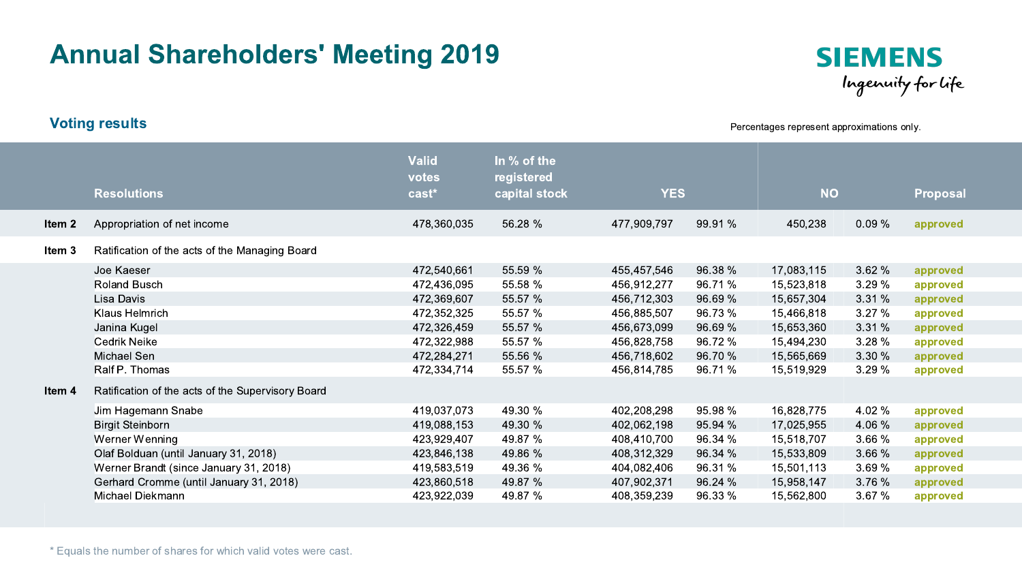## Annual Shareholders' Meeting 2019



Percentages represent approximations only.

|        | <b>Resolutions</b>                                                                                                                                                                                                                                                     | <b>Valid</b><br>votes<br>cast*                                                                                       | In % of the<br>registered<br>capital stock                                           | <b>YES</b>                                                                                                           |                                                                                      | <b>NO</b>                                                                                                    |                                                                         | <b>Proposal</b>                                                                              |
|--------|------------------------------------------------------------------------------------------------------------------------------------------------------------------------------------------------------------------------------------------------------------------------|----------------------------------------------------------------------------------------------------------------------|--------------------------------------------------------------------------------------|----------------------------------------------------------------------------------------------------------------------|--------------------------------------------------------------------------------------|--------------------------------------------------------------------------------------------------------------|-------------------------------------------------------------------------|----------------------------------------------------------------------------------------------|
| Item 2 | Appropriation of net income                                                                                                                                                                                                                                            | 478,360,035                                                                                                          | 56.28 %                                                                              | 477,909,797                                                                                                          | 99.91 %                                                                              | 450,238                                                                                                      | 0.09%                                                                   | approved                                                                                     |
| Item 3 | Ratification of the acts of the Managing Board                                                                                                                                                                                                                         |                                                                                                                      |                                                                                      |                                                                                                                      |                                                                                      |                                                                                                              |                                                                         |                                                                                              |
|        | Joe Kaeser<br>Roland Busch<br>Lisa Davis<br>Klaus Helmrich<br>Janina Kugel<br><b>Cedrik Neike</b><br>Michael Sen<br>Ralf P. Thomas                                                                                                                                     | 472,540,661<br>472,436,095<br>472,369,607<br>472,352,325<br>472,326,459<br>472,322,988<br>472,284,271<br>472,334,714 | 55.59 %<br>55.58 %<br>55.57 %<br>55.57 %<br>55.57 %<br>55.57 %<br>55.56 %<br>55.57 % | 455,457,546<br>456,912,277<br>456,712,303<br>456,885,507<br>456,673,099<br>456,828,758<br>456,718,602<br>456,814,785 | 96.38 %<br>96.71 %<br>96.69 %<br>96.73 %<br>96.69 %<br>96.72 %<br>96.70 %<br>96.71 % | 17,083,115<br>15,523,818<br>15,657,304<br>15,466,818<br>15,653,360<br>15,494,230<br>15,565,669<br>15,519,929 | 3.62 %<br>3.29%<br>3.31%<br>3.27%<br>3.31%<br>3.28%<br>3.30 %<br>3.29 % | approved<br>approved<br>approved<br>approved<br>approved<br>approved<br>approved<br>approved |
| ltem 4 | Ratification of the acts of the Supervisory Board<br>Jim Hagemann Snabe<br><b>Birgit Steinborn</b><br>Werner Wenning<br>Olaf Bolduan (until January 31, 2018)<br>Werner Brandt (since January 31, 2018)<br>Gerhard Cromme (until January 31, 2018)<br>Michael Diekmann | 419,037,073<br>419,088,153<br>423,929,407<br>423,846,138<br>419,583,519<br>423,860,518<br>423,922,039                | 49.30 %<br>49.30 %<br>49.87 %<br>49.86 %<br>49.36 %<br>49.87 %<br>49.87 %            | 402,208,298<br>402,062,198<br>408,410,700<br>408,312,329<br>404,082,406<br>407,902,371<br>408,359,239                | 95.98 %<br>95.94 %<br>96.34 %<br>96.34 %<br>96.31 %<br>96.24 %<br>96.33 %            | 16,828,775<br>17,025,955<br>15,518,707<br>15,533,809<br>15,501,113<br>15,958,147<br>15,562,800               | 4.02 %<br>4.06 %<br>3.66 %<br>3.66 %<br>3.69 %<br>3.76%<br>3.67%        | approved<br>approved<br>approved<br>approved<br>approved<br>approved<br>approved             |

Voting results

\* Equals the number of shares for which valid votes were cast.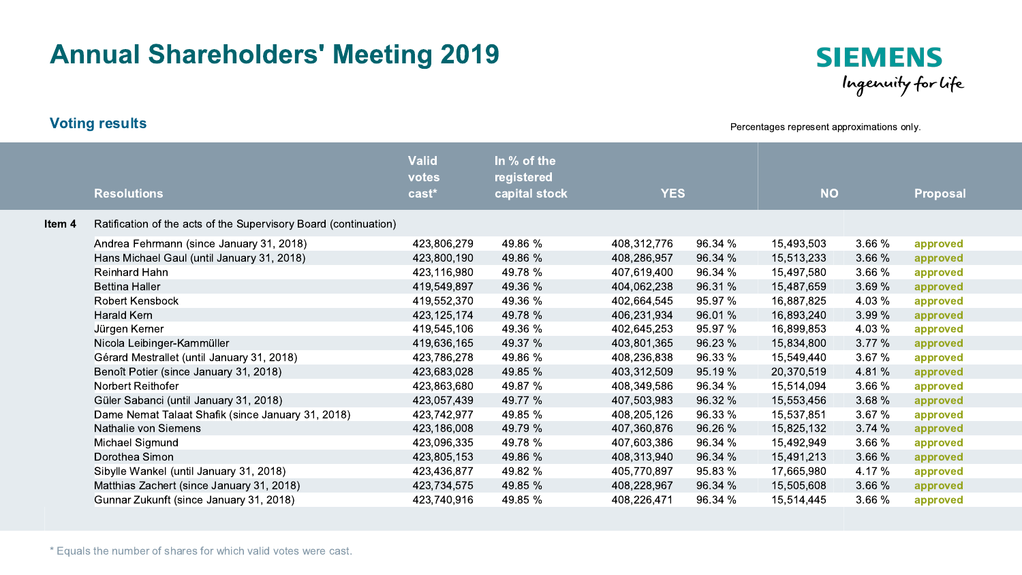## Annual Shareholders' Meeting 2019



Percentages represent approximations only.

|        | <b>Resolutions</b>                                               | <b>Valid</b><br>votes<br>cast <sup>*</sup> | In % of the<br>registered<br>capital stock | <b>YES</b>  |         | <b>NO</b>  |        | <b>Proposal</b> |
|--------|------------------------------------------------------------------|--------------------------------------------|--------------------------------------------|-------------|---------|------------|--------|-----------------|
| ltem 4 | Ratification of the acts of the Supervisory Board (continuation) |                                            |                                            |             |         |            |        |                 |
|        | Andrea Fehrmann (since January 31, 2018)                         | 423,806,279                                | 49.86 %                                    | 408,312,776 | 96.34 % | 15,493,503 | 3.66 % | approved        |
|        | Hans Michael Gaul (until January 31, 2018)                       | 423,800,190                                | 49.86 %                                    | 408,286,957 | 96.34 % | 15,513,233 | 3.66 % | approved        |
|        | <b>Reinhard Hahn</b>                                             | 423,116,980                                | 49.78 %                                    | 407,619,400 | 96.34 % | 15,497,580 | 3.66 % | approved        |
|        | <b>Bettina Haller</b>                                            | 419,549,897                                | 49.36 %                                    | 404,062,238 | 96.31 % | 15,487,659 | 3.69%  | approved        |
|        | <b>Robert Kensbock</b>                                           | 419,552,370                                | 49.36 %                                    | 402,664,545 | 95.97 % | 16,887,825 | 4.03 % | approved        |
|        | Harald Kern                                                      | 423,125,174                                | 49.78 %                                    | 406,231,934 | 96.01 % | 16,893,240 | 3.99 % | approved        |
|        | Jürgen Kerner                                                    | 419,545,106                                | 49.36 %                                    | 402,645,253 | 95.97 % | 16,899,853 | 4.03 % | approved        |
|        | Nicola Leibinger-Kammüller                                       | 419,636,165                                | 49.37 %                                    | 403,801,365 | 96.23 % | 15,834,800 | 3.77%  | approved        |
|        | Gérard Mestrallet (until January 31, 2018)                       | 423,786,278                                | 49.86 %                                    | 408,236,838 | 96.33 % | 15,549,440 | 3.67 % | approved        |
|        | Benoît Potier (since January 31, 2018)                           | 423,683,028                                | 49.85 %                                    | 403,312,509 | 95.19 % | 20,370,519 | 4.81 % | approved        |
|        | Norbert Reithofer                                                | 423,863,680                                | 49.87 %                                    | 408,349,586 | 96.34 % | 15,514,094 | 3.66 % | approved        |
|        | Güler Sabanci (until January 31, 2018)                           | 423,057,439                                | 49.77 %                                    | 407,503,983 | 96.32 % | 15,553,456 | 3.68 % | approved        |
|        | Dame Nemat Talaat Shafik (since January 31, 2018)                | 423,742,977                                | 49.85 %                                    | 408,205,126 | 96.33 % | 15,537,851 | 3.67%  | approved        |
|        | Nathalie von Siemens                                             | 423,186,008                                | 49.79 %                                    | 407,360,876 | 96.26 % | 15,825,132 | 3.74%  | approved        |
|        | Michael Sigmund                                                  | 423,096,335                                | 49.78 %                                    | 407,603,386 | 96.34 % | 15,492,949 | 3.66 % | approved        |
|        | Dorothea Simon                                                   | 423,805,153                                | 49.86 %                                    | 408,313,940 | 96.34 % | 15,491,213 | 3.66 % | approved        |
|        | Sibylle Wankel (until January 31, 2018)                          | 423,436,877                                | 49.82 %                                    | 405,770,897 | 95.83 % | 17,665,980 | 4.17 % | approved        |
|        | Matthias Zachert (since January 31, 2018)                        | 423,734,575                                | 49.85 %                                    | 408,228,967 | 96.34 % | 15,505,608 | 3.66 % | approved        |
|        | Gunnar Zukunft (since January 31, 2018)                          | 423,740,916                                | 49.85 %                                    | 408,226,471 | 96.34 % | 15,514,445 | 3.66 % | approved        |

Voting results

\* Equals the number of shares for which valid votes were cast.